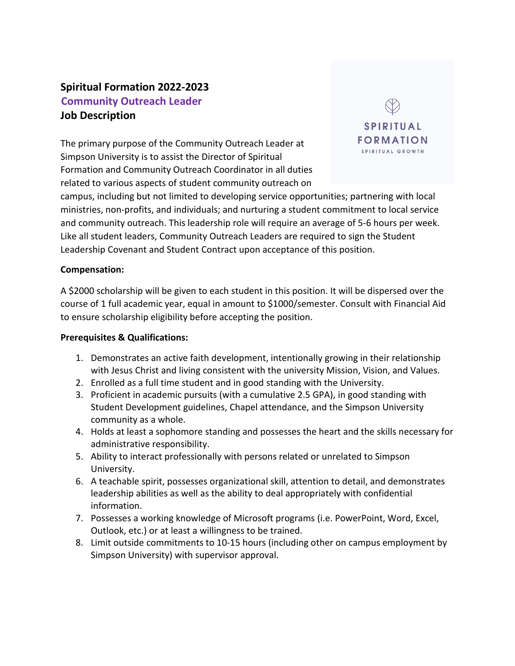# **Spiritual Formation 2022-2023 Community Outreach Leader Job Description**

The primary purpose of the Community Outreach Leader at Simpson University is to assist the Director of Spiritual Formation and Community Outreach Coordinator in all duties related to various aspects of student community outreach on



campus, including but not limited to developing service opportunities; partnering with local ministries, non-profits, and individuals; and nurturing a student commitment to local service and community outreach. This leadership role will require an average of 5-6 hours per week. Like all student leaders, Community Outreach Leaders are required to sign the Student Leadership Covenant and Student Contract upon acceptance of this position.

#### **Compensation:**

A \$2000 scholarship will be given to each student in this position. It will be dispersed over the course of 1 full academic year, equal in amount to \$1000/semester. Consult with Financial Aid to ensure scholarship eligibility before accepting the position.

#### **Prerequisites & Qualifications:**

- 1. Demonstrates an active faith development, intentionally growing in their relationship with Jesus Christ and living consistent with the university Mission, Vision, and Values.
- 2. Enrolled as a full time student and in good standing with the University.
- 3. Proficient in academic pursuits (with a cumulative 2.5 GPA), in good standing with Student Development guidelines, Chapel attendance, and the Simpson University community as a whole.
- 4. Holds at least a sophomore standing and possesses the heart and the skills necessary for administrative responsibility.
- 5. Ability to interact professionally with persons related or unrelated to Simpson University.
- 6. A teachable spirit, possesses organizational skill, attention to detail, and demonstrates leadership abilities as well as the ability to deal appropriately with confidential information.
- 7. Possesses a working knowledge of Microsoft programs (i.e. PowerPoint, Word, Excel, Outlook, etc.) or at least a willingness to be trained.
- 8. Limit outside commitments to 10-15 hours (including other on campus employment by Simpson University) with supervisor approval.